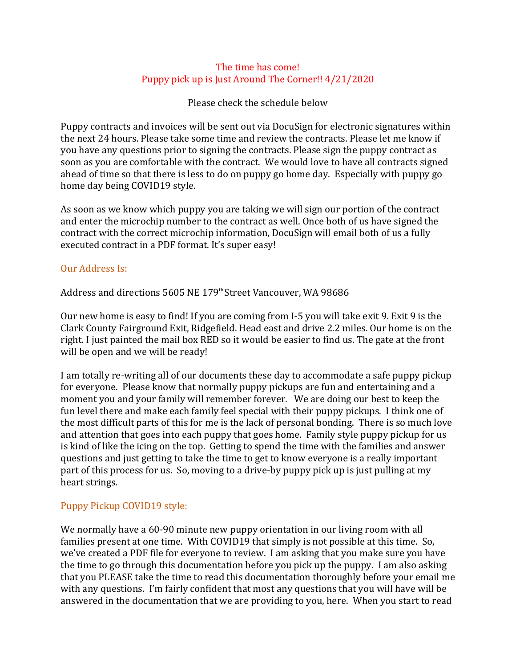## The time has come! Puppy pick up is Just Around The Corner!! 4/21/2020

Please check the schedule below

Puppy contracts and invoices will be sent out via DocuSign for electronic signatures within the next 24 hours. Please take some time and review the contracts. Please let me know if you have any questions prior to signing the contracts. Please sign the puppy contract as soon as you are comfortable with the contract. We would love to have all contracts signed ahead of time so that there is less to do on puppy go home day. Especially with puppy go home day being COVID19 style.

As soon as we know which puppy you are taking we will sign our portion of the contract and enter the microchip number to the contract as well. Once both of us have signed the contract with the correct microchip information, DocuSign will email both of us a fully executed contract in a PDF format. It's super easy!

## Our Address Is:

Address and directions 5605 NE 179<sup>th</sup> Street Vancouver, WA 98686

Our new home is easy to find! If you are coming from I-5 you will take exit 9. Exit 9 is the Clark County Fairground Exit, Ridgefield. Head east and drive 2.2 miles. Our home is on the right. I just painted the mail box RED so it would be easier to find us. The gate at the front will be open and we will be ready!

I am totally re-writing all of our documents these day to accommodate a safe puppy pickup for everyone. Please know that normally puppy pickups are fun and entertaining and a moment you and your family will remember forever. We are doing our best to keep the fun level there and make each family feel special with their puppy pickups. I think one of the most difficult parts of this for me is the lack of personal bonding. There is so much love and attention that goes into each puppy that goes home. Family style puppy pickup for us is kind of like the icing on the top. Getting to spend the time with the families and answer questions and just getting to take the time to get to know everyone is a really important part of this process for us. So, moving to a drive-by puppy pick up is just pulling at my heart strings.

# Puppy Pickup COVID19 style:

We normally have a 60-90 minute new puppy orientation in our living room with all families present at one time. With COVID19 that simply is not possible at this time. So, we've created a PDF file for everyone to review. I am asking that you make sure you have the time to go through this documentation before you pick up the puppy. I am also asking that you PLEASE take the time to read this documentation thoroughly before your email me with any questions. I'm fairly confident that most any questions that you will have will be answered in the documentation that we are providing to you, here. When you start to read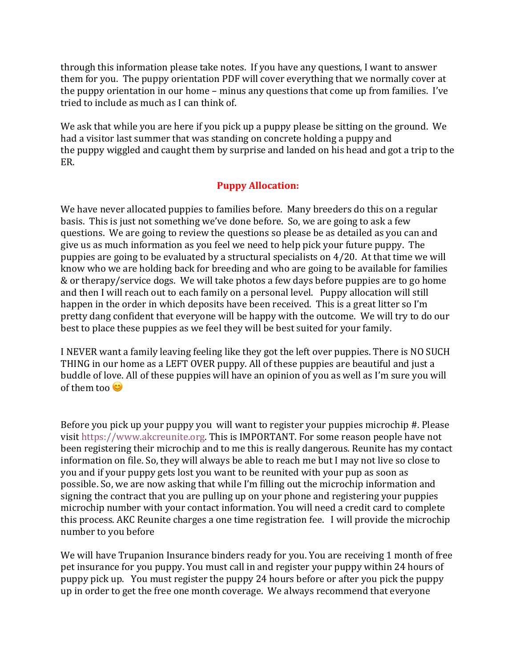through this information please take notes. If you have any questions, I want to answer them for you. The puppy orientation PDF will cover everything that we normally cover at the puppy orientation in our home – minus any questions that come up from families. I've tried to include as much as I can think of.

We ask that while you are here if you pick up a puppy please be sitting on the ground. We had a visitor last summer that was standing on concrete holding a puppy and the puppy wiggled and caught them by surprise and landed on his head and got a trip to the ER.

# **Puppy Allocation:**

We have never allocated puppies to families before. Many breeders do this on a regular basis. This is just not something we've done before. So, we are going to ask a few questions. We are going to review the questions so please be as detailed as you can and give us as much information as you feel we need to help pick your future puppy. The puppies are going to be evaluated by a structural specialists on  $4/20$ . At that time we will know who we are holding back for breeding and who are going to be available for families & or therapy/service dogs. We will take photos a few days before puppies are to go home and then I will reach out to each family on a personal level. Puppy allocation will still happen in the order in which deposits have been received. This is a great litter so I'm pretty dang confident that everyone will be happy with the outcome. We will try to do our best to place these puppies as we feel they will be best suited for your family.

I NEVER want a family leaving feeling like they got the left over puppies. There is NO SUCH THING in our home as a LEFT OVER puppy. All of these puppies are beautiful and just a buddle of love. All of these puppies will have an opinion of you as well as I'm sure you will of them too  $\circledcirc$ 

Before you pick up your puppy you will want to register your puppies microchip #. Please visit https://www.akcreunite.org. This is IMPORTANT. For some reason people have not been registering their microchip and to me this is really dangerous. Reunite has my contact information on file. So, they will always be able to reach me but I may not live so close to you and if your puppy gets lost you want to be reunited with your pup as soon as possible. So, we are now asking that while I'm filling out the microchip information and signing the contract that you are pulling up on your phone and registering your puppies microchip number with your contact information. You will need a credit card to complete this process. AKC Reunite charges a one time registration fee. I will provide the microchip number to you before

We will have Trupanion Insurance binders ready for you. You are receiving 1 month of free pet insurance for you puppy. You must call in and register your puppy within 24 hours of puppy pick up. You must register the puppy 24 hours before or after you pick the puppy up in order to get the free one month coverage. We always recommend that everyone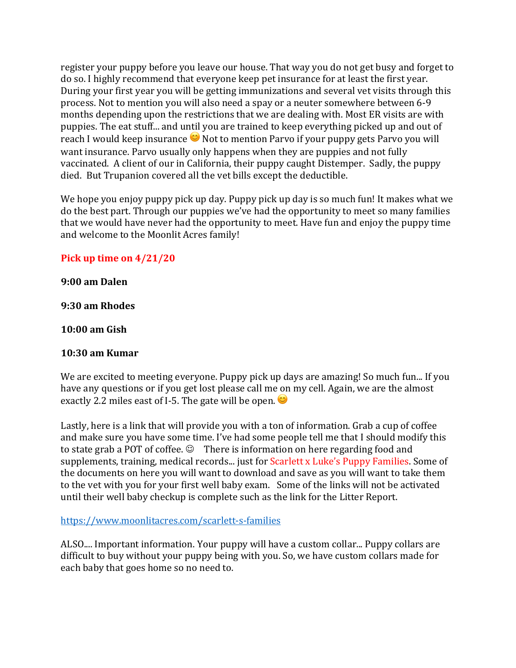register your puppy before you leave our house. That way you do not get busy and forget to do so. I highly recommend that everyone keep pet insurance for at least the first year. During your first year you will be getting immunizations and several vet visits through this process. Not to mention you will also need a spay or a neuter somewhere between 6-9 months depending upon the restrictions that we are dealing with. Most ER visits are with puppies. The eat stuff... and until you are trained to keep everything picked up and out of reach I would keep insurance  $\bullet$  Not to mention Parvo if your puppy gets Parvo you will want insurance. Parvo usually only happens when they are puppies and not fully vaccinated. A client of our in California, their puppy caught Distemper. Sadly, the puppy died. But Trupanion covered all the vet bills except the deductible.

We hope you enjoy puppy pick up day. Puppy pick up day is so much fun! It makes what we do the best part. Through our puppies we've had the opportunity to meet so many families that we would have never had the opportunity to meet. Have fun and enjoy the puppy time and welcome to the Moonlit Acres family!

# **Pick up time on 4/21/20**

#### **9:00 am Dalen**

**9:30 am Rhodes**

#### **10:00 am Gish**

## **10:30 am Kumar**

We are excited to meeting everyone. Puppy pick up days are amazing! So much fun... If you have any questions or if you get lost please call me on my cell. Again, we are the almost exactly 2.2 miles east of I-5. The gate will be open.  $\bullet$ 

Lastly, here is a link that will provide you with a ton of information. Grab a cup of coffee and make sure you have some time. I've had some people tell me that I should modify this to state grab a POT of coffee.  $\odot$  There is information on here regarding food and supplements, training, medical records... just for Scarlett x Luke's Puppy Families. Some of the documents on here you will want to download and save as you will want to take them to the vet with you for your first well baby exam. Some of the links will not be activated until their well baby checkup is complete such as the link for the Litter Report.

https://www.moonlitacres.com/scarlett-s-families

ALSO.... Important information. Your puppy will have a custom collar... Puppy collars are difficult to buy without your puppy being with you. So, we have custom collars made for each baby that goes home so no need to.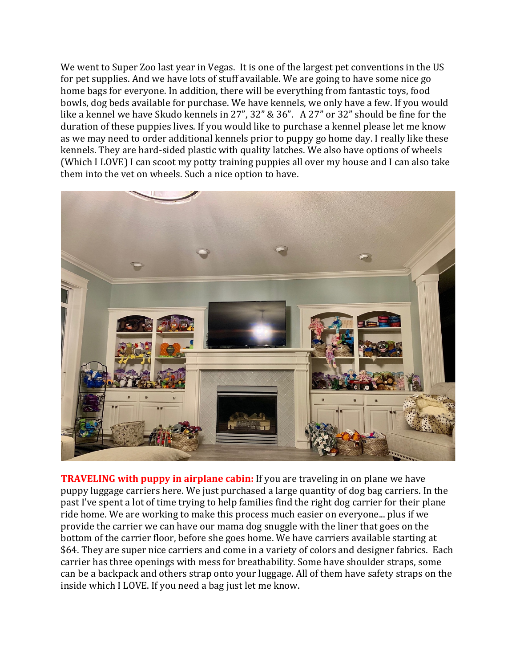We went to Super Zoo last year in Vegas. It is one of the largest pet conventions in the US for pet supplies. And we have lots of stuff available. We are going to have some nice go home bags for everyone. In addition, there will be everything from fantastic toys, food bowls, dog beds available for purchase. We have kennels, we only have a few. If you would like a kennel we have Skudo kennels in 27", 32" & 36". A 27" or 32" should be fine for the duration of these puppies lives. If you would like to purchase a kennel please let me know as we may need to order additional kennels prior to puppy go home day. I really like these kennels. They are hard-sided plastic with quality latches. We also have options of wheels (Which I LOVE) I can scoot my potty training puppies all over my house and I can also take them into the vet on wheels. Such a nice option to have.



**TRAVELING with puppy in airplane cabin:** If you are traveling in on plane we have puppy luggage carriers here. We just purchased a large quantity of dog bag carriers. In the past I've spent a lot of time trying to help families find the right dog carrier for their plane ride home. We are working to make this process much easier on everyone... plus if we provide the carrier we can have our mama dog snuggle with the liner that goes on the bottom of the carrier floor, before she goes home. We have carriers available starting at \$64. They are super nice carriers and come in a variety of colors and designer fabrics. Each carrier has three openings with mess for breathability. Some have shoulder straps, some can be a backpack and others strap onto your luggage. All of them have safety straps on the inside which I LOVE. If you need a bag just let me know.